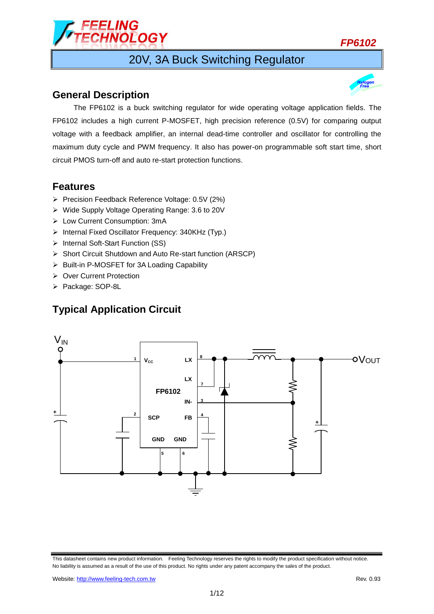

# 20V, 3A Buck Switching Regulator

### **General Description**

The FP6102 is a buck switching regulator for wide operating voltage application fields. The FP6102 includes a high current P-MOSFET, high precision reference (0.5V) for comparing output voltage with a feedback amplifier, an internal dead-time controller and oscillator for controlling the maximum duty cycle and PWM frequency. It also has power-on programmable soft start time, short circuit PMOS turn-off and auto re-start protection functions.

## **Features**

- Precision Feedback Reference Voltage: 0.5V (2%)
- Wide Supply Voltage Operating Range: 3.6 to 20V
- Low Current Consumption: 3mA
- $\triangleright$  Internal Fixed Oscillator Frequency: 340KHz (Typ.)
- > Internal Soft-Start Function (SS)
- Short Circuit Shutdown and Auto Re-start function (ARSCP)
- $\triangleright$  Built-in P-MOSFET for 3A Loading Capability
- ▶ Over Current Protection
- > Package: SOP-8L

## **Typical Application Circuit**



This datasheet contains new product information. Feeling Technology reserves the rights to modify the product specification without notice. No liability is assumed as a result of the use of this product. No rights under any patent accompany the sales of the product.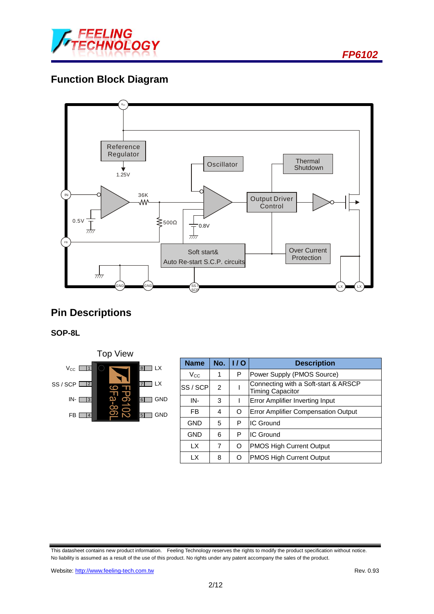

# **Function Block Diagram**



# **Pin Descriptions**

### **SOP-8L**



| <b>Name</b>  | No.            | 1/0 | <b>Description</b>                                              |  |  |
|--------------|----------------|-----|-----------------------------------------------------------------|--|--|
| $V_{\rm CC}$ | 1              | P   | Power Supply (PMOS Source)                                      |  |  |
| SS / SCPI    | $\mathfrak{p}$ |     | Connecting with a Soft-start & ARSCP<br><b>Timing Capacitor</b> |  |  |
| IN-          | 3              |     | Error Amplifier Inverting Input                                 |  |  |
| FB           | 4              | O   | <b>Error Amplifier Compensation Output</b>                      |  |  |
| <b>GND</b>   | 5              | P   | <b>IC Ground</b>                                                |  |  |
| <b>GND</b>   | 6              | P   | <b>IC Ground</b>                                                |  |  |
| LX           | 7              | O   | <b>PMOS High Current Output</b>                                 |  |  |
| LΧ           | 8              | O   | <b>PMOS High Current Output</b>                                 |  |  |

This datasheet contains new product information. Feeling Technology reserves the rights to modify the product specification without notice. No liability is assumed as a result of the use of this product. No rights under any patent accompany the sales of the product.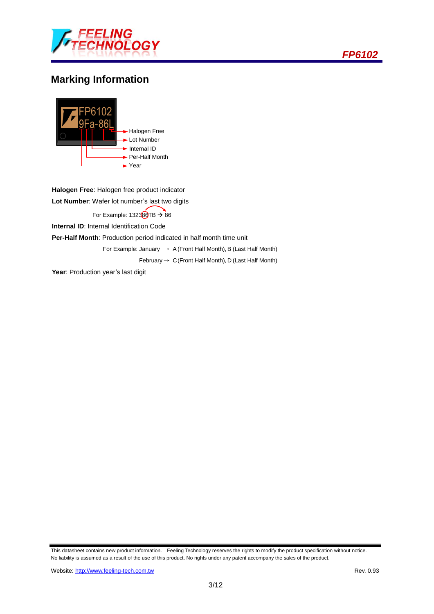

## **Marking Information**



**Halogen Free**: Halogen free product indicator **Lot Number**: Wafer lot number's last two digits For Example:  $132380TB \rightarrow 86$ **Internal ID:** Internal Identification Code **Per-Half Month**: Production period indicated in half month time unit For Example: January  $\rightarrow$  A (Front Half Month), B (Last Half Month) February  $\rightarrow$  C(Front Half Month), D (Last Half Month) Year: Production year's last digit

This datasheet contains new product information. Feeling Technology reserves the rights to modify the product specification without notice. No liability is assumed as a result of the use of this product. No rights under any patent accompany the sales of the product.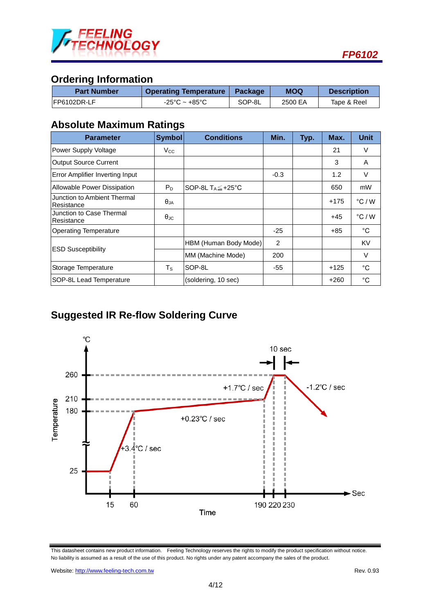

## **Ordering Information**

| <b>Part Number</b> | <b>Operating Temperature   Package</b> |        | <b>MOQ</b> | <b>Description</b> |  |
|--------------------|----------------------------------------|--------|------------|--------------------|--|
| IFP6102DR-LF       | -25°C ~ +85°C                          | SOP-8L | 2500 EA    | Tape & Reel        |  |

## **Absolute Maximum Ratings**

| <b>Parameter</b>                          | <b>Symbol</b>         | <b>Conditions</b>              | Min.   | Typ. | Max.   | <b>Unit</b>     |
|-------------------------------------------|-----------------------|--------------------------------|--------|------|--------|-----------------|
| Power Supply Voltage                      | Vcc.                  |                                |        |      | 21     | V               |
| Output Source Current                     |                       |                                |        |      | 3      | A               |
| <b>Error Amplifier Inverting Input</b>    |                       |                                | $-0.3$ |      | 1.2    | V               |
| Allowable Power Dissipation               | $P_D$                 | SOP-8L $T_A \leq +25^{\circ}C$ |        |      | 650    | mW              |
| Junction to Ambient Thermal<br>Resistance | $\theta_{JA}$         |                                |        |      | +175   | $\degree$ C / W |
| Junction to Case Thermal<br>Resistance    | $\theta_{\text{.IC}}$ |                                |        |      | $+45$  | $\degree$ C / W |
| <b>Operating Temperature</b>              |                       |                                | $-25$  |      | +85    | $^{\circ}$ C    |
|                                           |                       | HBM (Human Body Mode)          | 2      |      |        | <b>KV</b>       |
| <b>ESD Susceptibility</b>                 |                       | MM (Machine Mode)              | 200    |      |        | V               |
| Storage Temperature                       | $T_S$                 | SOP-8L                         | -55    |      | $+125$ | °C              |
| SOP-8L Lead Temperature                   |                       | (soldering, 10 sec)            |        |      | +260   | $^{\circ}$ C    |

# **Suggested IR Re-flow Soldering Curve**



This datasheet contains new product information. Feeling Technology reserves the rights to modify the product specification without notice. No liability is assumed as a result of the use of this product. No rights under any patent accompany the sales of the product.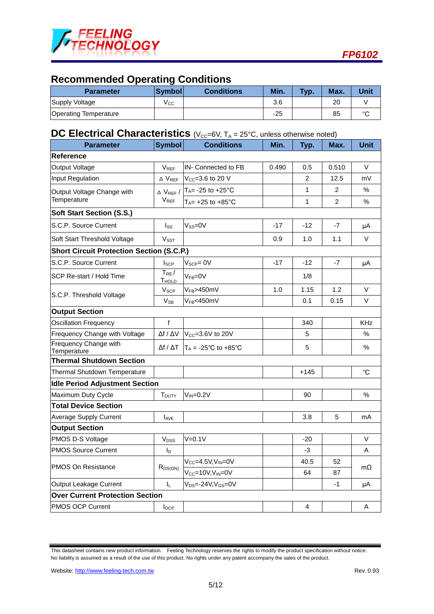

# **Recommended Operating Conditions**

| <b>Parameter</b>             | <b>Symboll</b> | <b>Conditions</b> | Min.  | Typ. | Max. | Unit   |
|------------------------------|----------------|-------------------|-------|------|------|--------|
| Supply Voltage               | ∨сс            |                   | 3.6   |      | 20   |        |
| <b>Operating Temperature</b> |                |                   | $-25$ |      | 85   | $\sim$ |

## **DC Electrical Characteristics** (V<sub>CC</sub>=6V, T<sub>A</sub> = 25°C, unless otherwise noted)

| <b>Parameter</b>                                 | <b>Symbol</b>                  | <b>Conditions</b>                      | Min.  | Typ.   | Max.           | <b>Unit</b> |
|--------------------------------------------------|--------------------------------|----------------------------------------|-------|--------|----------------|-------------|
| <b>Reference</b>                                 |                                |                                        |       |        |                |             |
| Output Voltage                                   | $V_{REF}$                      | IN- Connected to FB                    | 0.490 | 0.5    | 0.510          | V           |
| Input Regulation                                 | $\Delta$ $\rm V_{REF}$         | $V_{CC} = 3.6$ to 20 V                 |       | 2      | 12.5           | mV          |
| Output Voltage Change with                       | $\triangle$ VREF /             | $T_A$ = -25 to +25 $^{\circ}$ C        |       | 1      | 2              | $\%$        |
| Temperature                                      | <b>VREF</b>                    | $T_A$ = +25 to +85 $^{\circ}$ C        |       | 1      | $\overline{c}$ | $\%$        |
| <b>Soft Start Section (S.S.)</b>                 |                                |                                        |       |        |                |             |
| S.C.P. Source Current                            | $I_{SS}$                       | $V_{SS} = 0V$                          | -17   | $-12$  | -7             | μA          |
| Soft Start Threshold Voltage                     | <b>Vsst</b>                    |                                        | 0.9   | 1.0    | 1.1            | V           |
| <b>Short Circuit Protection Section (S.C.P.)</b> |                                |                                        |       |        |                |             |
| S.C.P. Source Current                            | <b>I</b> <sub>SCP</sub>        | $V_{\text{SCP}} = 0V$                  | $-17$ | $-12$  | $-7$           | μA          |
| SCP Re-start / Hold Time                         | $T_{RE}/$<br>T <sub>HOLD</sub> | $V_{FB} = 0V$                          |       | 1/8    |                |             |
|                                                  | V <sub>SCP</sub>               | V <sub>FB</sub> >450mV                 | 1.0   | 1.15   | 1.2            | $\vee$      |
| S.C.P. Threshold Voltage                         | $V_{SB}$                       | V <sub>FB</sub> <450mV                 |       | 0.1    | 0.15           | V           |
| <b>Output Section</b>                            |                                |                                        |       |        |                |             |
| <b>Oscillation Frequency</b>                     | $\mathsf f$                    |                                        |       | 340    |                | <b>KHz</b>  |
| Frequency Change with Voltage                    | $\Delta f / \Delta V$          | Vcc=3.6V to 20V                        |       | 5      |                | $\%$        |
| Frequency Change with<br>Temperature             | $\Delta f$ / $\Delta T$        | $T_A = -25^{\circ}C$ to $+85^{\circ}C$ |       | 5      |                | $\%$        |
| <b>Thermal Shutdown Section</b>                  |                                |                                        |       |        |                |             |
| Thermal Shutdown Temperature                     |                                |                                        |       | $+145$ |                | $^{\circ}C$ |
| <b>Idle Period Adjustment Section</b>            |                                |                                        |       |        |                |             |
| Maximum Duty Cycle                               | <b>T</b> <sub>DUTY</sub>       | $V_{IN} = 0.2V$                        |       | 90     |                | $\%$        |
| <b>Total Device Section</b>                      |                                |                                        |       |        |                |             |
| <b>Average Supply Current</b>                    | <b>AVE</b>                     |                                        |       | 3.8    | 5              | mA          |
| <b>Output Section</b>                            |                                |                                        |       |        |                |             |
| PMOS D-S Voltage                                 | V <sub>DSS</sub>               | $V=0.1V$                               |       | $-20$  |                | V           |
| <b>PMOS Source Current</b>                       | I <sub>D</sub>                 |                                        |       | -3     |                | A           |
| <b>PMOS On Resistance</b>                        |                                | $V_{CC} = 4.5V, V_{IN} = 0V$           |       | 40.5   | 52             |             |
|                                                  | $R_{DS(ON)}$                   | $V_{CC}$ =10V.V <sub>IN</sub> =0V      |       | 64     | 87             | mΩ          |
| Output Leakage Current                           | IL.                            | $V_{DS} = -24V, V_{GS} = 0V$           |       |        | $-1$           | μA          |
| <b>Over Current Protection Section</b>           |                                |                                        |       |        |                |             |
| PMOS OCP Current                                 | $I_{OCP}$                      |                                        |       | 4      |                | Α           |
|                                                  |                                |                                        |       |        |                |             |

This datasheet contains new product information. Feeling Technology reserves the rights to modify the product specification without notice. No liability is assumed as a result of the use of this product. No rights under any patent accompany the sales of the product.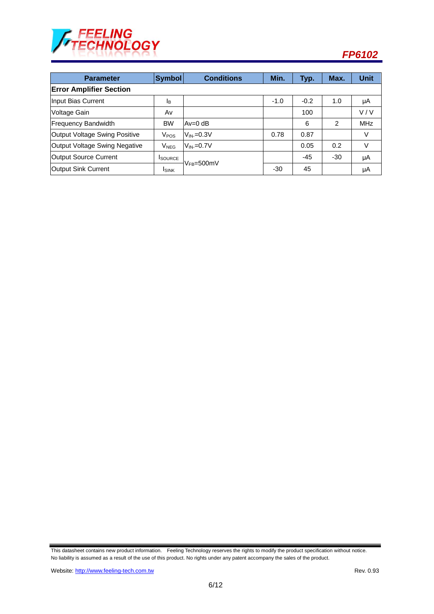

| <b>Parameter</b>               | <b>Symbol</b>         | <b>Conditions</b> | Min.   | Typ.   | Max.           | <b>Unit</b> |  |
|--------------------------------|-----------------------|-------------------|--------|--------|----------------|-------------|--|
| <b>Error Amplifier Section</b> |                       |                   |        |        |                |             |  |
| Input Bias Current             | <b>I</b> <sub>B</sub> |                   | $-1.0$ | $-0.2$ | 1.0            | μA          |  |
| Voltage Gain                   | Av                    |                   |        | 100    |                | V/V         |  |
| <b>Frequency Bandwidth</b>     | <b>BW</b>             | lAv=0 dB          |        | 6      | $\overline{2}$ | <b>MHz</b>  |  |
| Output Voltage Swing Positive  | V <sub>POS</sub>      | $V_{IN}=0.3V$     | 0.78   | 0.87   |                | V           |  |
| Output Voltage Swing Negative  | $V_{NEG}$             | $V_{IN}=0.7V$     |        | 0.05   | 0.2            | V           |  |
| Output Source Current          | <b>I</b> SOURCE       | $V_{FB} = 500$ mV |        | $-45$  | $-30$          | μA          |  |
| Output Sink Current            | <b>I</b> SINK         |                   | $-30$  | 45     |                | μA          |  |

This datasheet contains new product information. Feeling Technology reserves the rights to modify the product specification without notice. No liability is assumed as a result of the use of this product. No rights under any patent accompany the sales of the product.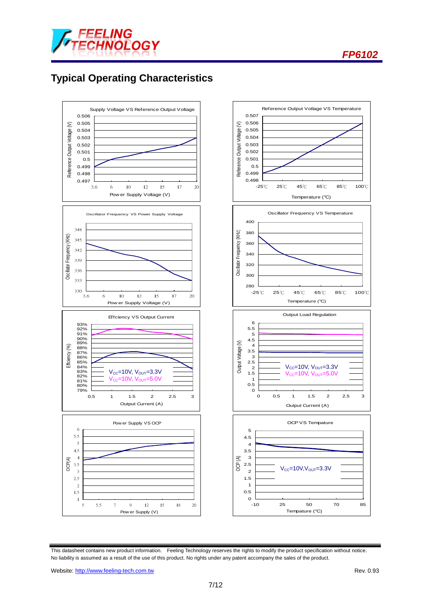



# **Typical Operating Characteristics**



This datasheet contains new product information. Feeling Technology reserves the rights to modify the product specification without notice. No liability is assumed as a result of the use of this product. No rights under any patent accompany the sales of the product.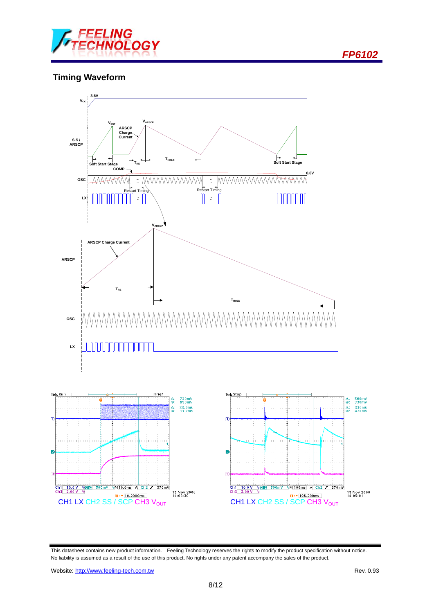

### **Timing Waveform**



This datasheet contains new product information. Feeling Technology reserves the rights to modify the product specification without notice. No liability is assumed as a result of the use of this product. No rights under any patent accompany the sales of the product.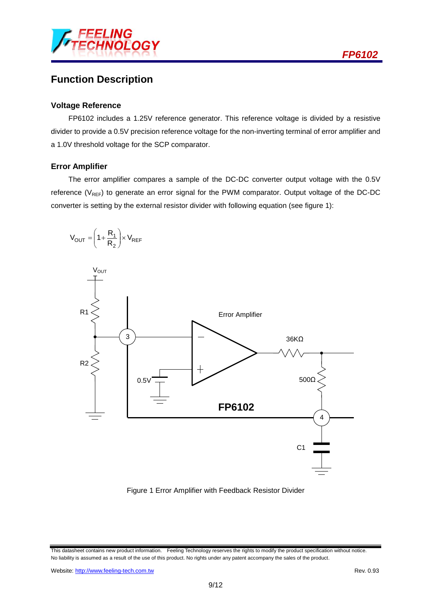

## **Function Description**

#### **Voltage Reference**

FP6102 includes a 1.25V reference generator. This reference voltage is divided by a resistive divider to provide a 0.5V precision reference voltage for the non-inverting terminal of error amplifier and a 1.0V threshold voltage for the SCP comparator.

#### **Error Amplifier**

The error amplifier compares a sample of the DC-DC converter output voltage with the 0.5V reference ( $V_{REF}$ ) to generate an error signal for the PWM comparator. Output voltage of the DC-DC converter is setting by the external resistor divider with following equation (see figure 1):



Figure 1 Error Amplifier with Feedback Resistor Divider

This datasheet contains new product information. Feeling Technology reserves the rights to modify the product specification without notice. No liability is assumed as a result of the use of this product. No rights under any patent accompany the sales of the product.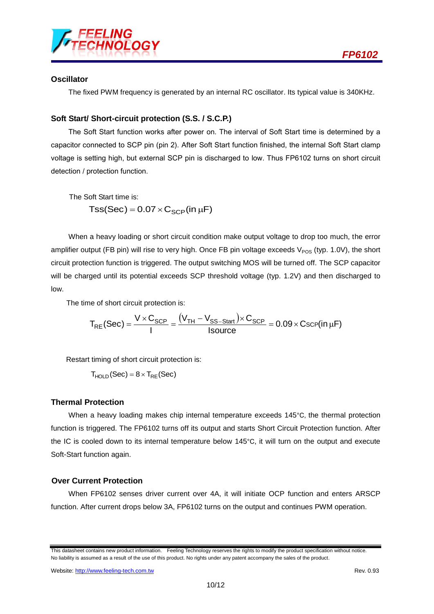

#### **Oscillator**

The fixed PWM frequency is generated by an internal RC oscillator. Its typical value is 340KHz.

### **Soft Start/ Short-circuit protection (S.S. / S.C.P.)**

The Soft Start function works after power on. The interval of Soft Start time is determined by a capacitor connected to SCP pin (pin 2). After Soft Start function finished, the internal Soft Start clamp voltage is setting high, but external SCP pin is discharged to low. Thus FP6102 turns on short circuit detection / protection function.

The Soft Start time is:  $Tss(Sec) = 0.07 \times C_{SCP}(in \mu F)$ 

When a heavy loading or short circuit condition make output voltage to drop too much, the error amplifier output (FB pin) will rise to very high. Once FB pin voltage exceeds  $V_{POS}$  (typ. 1.0V), the short circuit protection function is triggered. The output switching MOS will be turned off. The SCP capacitor will be charged until its potential exceeds SCP threshold voltage (typ. 1.2V) and then discharged to low.

The time of short circuit protection is:

$$
T_{RE}(Sec) = \frac{V \times C_{SCP}}{I} = \frac{(V_{TH} - V_{SS-Start}) \times C_{SCP}}{Isource} = 0.09 \times CscP(in \mu F)
$$

Restart timing of short circuit protection is:

 $T<sub>HOLD</sub>(Sec) = 8 \times T<sub>RF</sub>(Sec)$ 

### **Thermal Protection**

When a heavy loading makes chip internal temperature exceeds 145°C, the thermal protection function is triggered. The FP6102 turns off its output and starts Short Circuit Protection function. After the IC is cooled down to its internal temperature below 145°C, it will turn on the output and execute Soft-Start function again.

#### **Over Current Protection**

When FP6102 senses driver current over 4A, it will initiate OCP function and enters ARSCP function. After current drops below 3A, FP6102 turns on the output and continues PWM operation.

This datasheet contains new product information. Feeling Technology reserves the rights to modify the product specification without notice. No liability is assumed as a result of the use of this product. No rights under any patent accompany the sales of the product.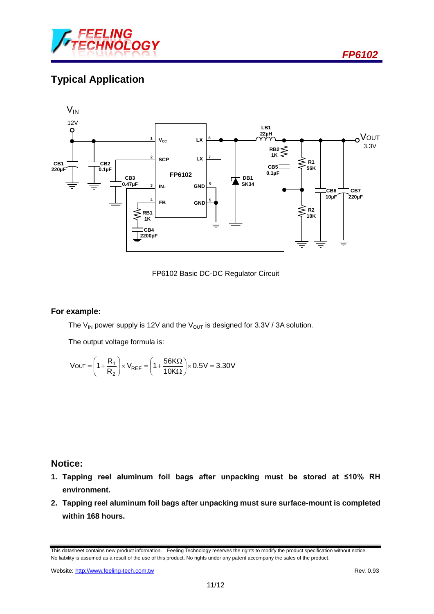

# **Typical Application**



FP6102 Basic DC-DC Regulator Circuit

#### **For example:**

The V<sub>IN</sub> power supply is 12V and the V<sub>OUT</sub> is designed for 3.3V / 3A solution.

The output voltage formula is:

$$
V_{OUT} = \left(1 + \frac{R_1}{R_2}\right) \times V_{REF} = \left(1 + \frac{56K\Omega}{10K\Omega}\right) \times 0.5V = 3.30V
$$

### **Notice:**

- **1. Tapping reel aluminum foil bags after unpacking must be stored at ≤10% RH environment.**
- **2. Tapping reel aluminum foil bags after unpacking must sure surface-mount is completed within 168 hours.**

This datasheet contains new product information. Feeling Technology reserves the rights to modify the product specification without notice. No liability is assumed as a result of the use of this product. No rights under any patent accompany the sales of the product.